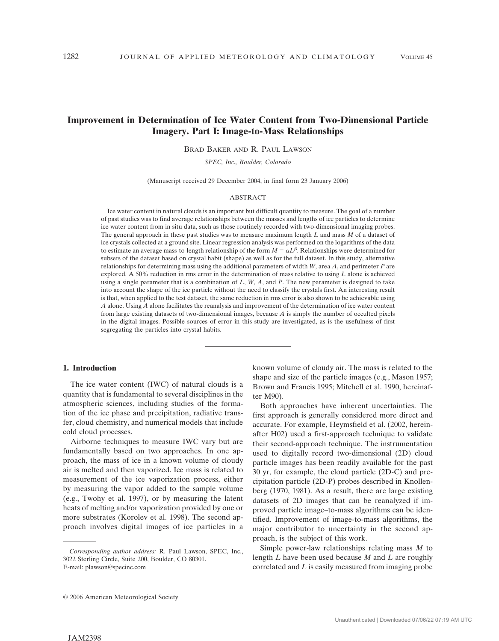# **Improvement in Determination of Ice Water Content from Two-Dimensional Particle Imagery. Part I: Image-to-Mass Relationships**

BRAD BAKER AND R. PAUL LAWSON

*SPEC, Inc., Boulder, Colorado*

(Manuscript received 29 December 2004, in final form 23 January 2006)

#### ABSTRACT

Ice water content in natural clouds is an important but difficult quantity to measure. The goal of a number of past studies was to find average relationships between the masses and lengths of ice particles to determine ice water content from in situ data, such as those routinely recorded with two-dimensional imaging probes. The general approach in these past studies was to measure maximum length *L* and mass *M* of a dataset of ice crystals collected at a ground site. Linear regression analysis was performed on the logarithms of the data to estimate an average mass-to-length relationship of the form  $M = \alpha L^{\beta}$ . Relationships were determined for subsets of the dataset based on crystal habit (shape) as well as for the full dataset. In this study, alternative relationships for determining mass using the additional parameters of width *W*, area *A*, and perimeter *P* are explored. A 50% reduction in rms error in the determination of mass relative to using *L* alone is achieved using a single parameter that is a combination of *L*, *W*, *A*, and *P*. The new parameter is designed to take into account the shape of the ice particle without the need to classify the crystals first. An interesting result is that, when applied to the test dataset, the same reduction in rms error is also shown to be achievable using *A* alone. Using *A* alone facilitates the reanalysis and improvement of the determination of ice water content from large existing datasets of two-dimensional images, because *A* is simply the number of occulted pixels in the digital images. Possible sources of error in this study are investigated, as is the usefulness of first segregating the particles into crystal habits.

#### **1. Introduction**

The ice water content (IWC) of natural clouds is a quantity that is fundamental to several disciplines in the atmospheric sciences, including studies of the formation of the ice phase and precipitation, radiative transfer, cloud chemistry, and numerical models that include cold cloud processes.

Airborne techniques to measure IWC vary but are fundamentally based on two approaches. In one approach, the mass of ice in a known volume of cloudy air is melted and then vaporized. Ice mass is related to measurement of the ice vaporization process, either by measuring the vapor added to the sample volume (e.g., Twohy et al. 1997), or by measuring the latent heats of melting and/or vaporization provided by one or more substrates (Korolev et al. 1998). The second approach involves digital images of ice particles in a

known volume of cloudy air. The mass is related to the shape and size of the particle images (e.g., Mason 1957; Brown and Francis 1995; Mitchell et al. 1990, hereinafter M90).

Both approaches have inherent uncertainties. The first approach is generally considered more direct and accurate. For example, Heymsfield et al. (2002, hereinafter H02) used a first-approach technique to validate their second-approach technique. The instrumentation used to digitally record two-dimensional (2D) cloud particle images has been readily available for the past 30 yr, for example, the cloud particle (2D-C) and precipitation particle (2D-P) probes described in Knollenberg (1970, 1981). As a result, there are large existing datasets of 2D images that can be reanalyzed if improved particle image–to-mass algorithms can be identified. Improvement of image-to-mass algorithms, the major contributor to uncertainty in the second approach, is the subject of this work.

Simple power-law relationships relating mass *M* to length *L* have been used because *M* and *L* are roughly correlated and *L* is easily measured from imaging probe

*Corresponding author address:* R. Paul Lawson, SPEC, Inc., 3022 Sterling Circle, Suite 200, Boulder, CO 80301. E-mail: plawson@specinc.com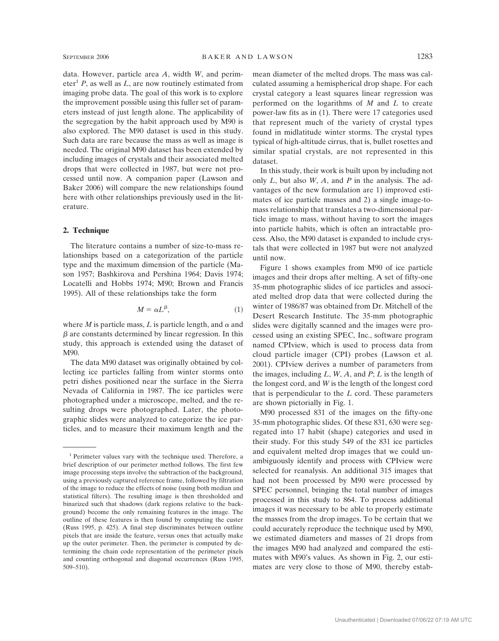data. However, particle area *A*, width *W*, and perimeter<sup>1</sup> *P*, as well as *L*, are now routinely estimated from imaging probe data. The goal of this work is to explore the improvement possible using this fuller set of parameters instead of just length alone. The applicability of the segregation by the habit approach used by M90 is also explored. The M90 dataset is used in this study. Such data are rare because the mass as well as image is needed. The original M90 dataset has been extended by including images of crystals and their associated melted drops that were collected in 1987, but were not processed until now. A companion paper (Lawson and Baker 2006) will compare the new relationships found here with other relationships previously used in the literature.

#### **2. Technique**

The literature contains a number of size-to-mass relationships based on a categorization of the particle type and the maximum dimension of the particle (Mason 1957; Bashkirova and Pershina 1964; Davis 1974; Locatelli and Hobbs 1974; M90; Brown and Francis 1995). All of these relationships take the form

$$
M = \alpha L^{\beta}, \tag{1}
$$

where *M* is particle mass, *L* is particle length, and  $\alpha$  and  $\beta$  are constants determined by linear regression. In this study, this approach is extended using the dataset of M90.

The data M90 dataset was originally obtained by collecting ice particles falling from winter storms onto petri dishes positioned near the surface in the Sierra Nevada of California in 1987. The ice particles were photographed under a microscope, melted, and the resulting drops were photographed. Later, the photographic slides were analyzed to categorize the ice particles, and to measure their maximum length and the mean diameter of the melted drops. The mass was calculated assuming a hemispherical drop shape. For each crystal category a least squares linear regression was performed on the logarithms of *M* and *L* to create power-law fits as in (1). There were 17 categories used that represent much of the variety of crystal types found in midlatitude winter storms. The crystal types typical of high-altitude cirrus, that is, bullet rosettes and similar spatial crystals, are not represented in this dataset.

In this study, their work is built upon by including not only *L*, but also *W*, *A*, and *P* in the analysis. The advantages of the new formulation are 1) improved estimates of ice particle masses and 2) a single image-tomass relationship that translates a two-dimensional particle image to mass, without having to sort the images into particle habits, which is often an intractable process. Also, the M90 dataset is expanded to include crystals that were collected in 1987 but were not analyzed until now.

Figure 1 shows examples from M90 of ice particle images and their drops after melting. A set of fifty-one 35-mm photographic slides of ice particles and associated melted drop data that were collected during the winter of 1986/87 was obtained from Dr. Mitchell of the Desert Research Institute. The 35-mm photographic slides were digitally scanned and the images were processed using an existing SPEC, Inc., software program named CPIview, which is used to process data from cloud particle imager (CPI) probes (Lawson et al. 2001). CPIview derives a number of parameters from the images, including *L*, *W*, *A*, and *P*; *L* is the length of the longest cord, and *W* is the length of the longest cord that is perpendicular to the *L* cord. These parameters are shown pictorially in Fig. 1.

M90 processed 831 of the images on the fifty-one 35-mm photographic slides. Of these 831, 630 were segregated into 17 habit (shape) categories and used in their study. For this study 549 of the 831 ice particles and equivalent melted drop images that we could unambiguously identify and process with CPIview were selected for reanalysis. An additional 315 images that had not been processed by M90 were processed by SPEC personnel, bringing the total number of images processed in this study to 864. To process additional images it was necessary to be able to properly estimate the masses from the drop images. To be certain that we could accurately reproduce the technique used by M90, we estimated diameters and masses of 21 drops from the images M90 had analyzed and compared the estimates with M90's values. As shown in Fig. 2, our estimates are very close to those of M90, thereby estab-

<sup>&</sup>lt;sup>1</sup> Perimeter values vary with the technique used. Therefore, a brief description of our perimeter method follows. The first few image processing steps involve the subtraction of the background, using a previously captured reference frame, followed by filtration of the image to reduce the effects of noise (using both median and statistical filters). The resulting image is then thresholded and binarized such that shadows (dark regions relative to the background) become the only remaining features in the image. The outline of these features is then found by computing the custer (Russ 1995, p. 425). A final step discriminates between outline pixels that are inside the feature, versus ones that actually make up the outer perimeter. Then, the perimeter is computed by determining the chain code representation of the perimeter pixels and counting orthogonal and diagonal occurrences (Russ 1995, 509–510).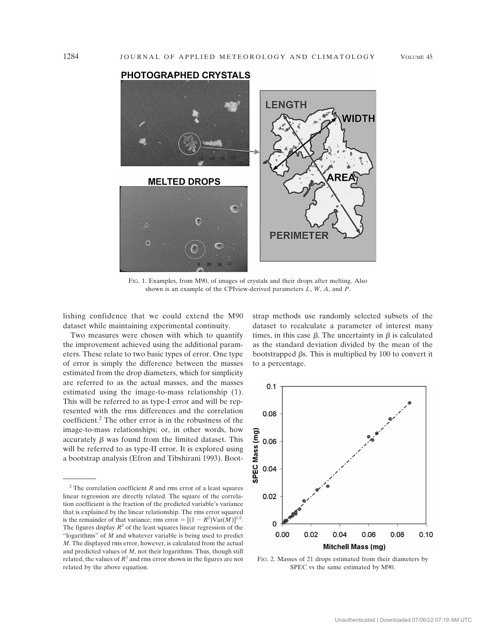

FIG. 1. Examples, from M90, of images of crystals and their drops after melting. Also shown is an example of the CPIview-derived parameters *L*, *W*, *A*, and *P*.

lishing confidence that we could extend the M90 dataset while maintaining experimental continuity.

Two measures were chosen with which to quantify the improvement achieved using the additional parameters. These relate to two basic types of error. One type of error is simply the difference between the masses estimated from the drop diameters, which for simplicity are referred to as the actual masses, and the masses estimated using the image-to-mass relationship (1). This will be referred to as type-I error and will be represented with the rms differences and the correlation coefficient.2 The other error is in the robustness of the image-to-mass relationships; or, in other words, how accurately  $\beta$  was found from the limited dataset. This will be referred to as type-II error. It is explored using a bootstrap analysis (Efron and Tibshirani 1993). Bootstrap methods use randomly selected subsets of the dataset to recalculate a parameter of interest many times, in this case  $\beta$ . The uncertainty in  $\beta$  is calculated as the standard deviation divided by the mean of the bootstrapped  $\beta s$ . This is multiplied by 100 to convert it to a percentage.



FIG. 2. Masses of 21 drops estimated from their diameters by SPEC vs the same estimated by M90.

 $2$ <sup>2</sup> The correlation coefficient *R* and rms error of a least squares linear regression are directly related. The square of the correlation coefficient is the fraction of the predicted variable's variance that is explained by the linear relationship. The rms error squared is the remainder of that variance; rms error =  $[(1 - R^2)Var(M)]^{1/2}$ . The figures display  $R^2$  of the least squares linear regression of the "logarithms" of *M* and whatever variable is being used to predict *M*. The displayed rms error, however, is calculated from the actual and predicted values of *M*, not their logarithms. Thus, though still related, the values of  $R^2$  and rms error shown in the figures are not related by the above equation.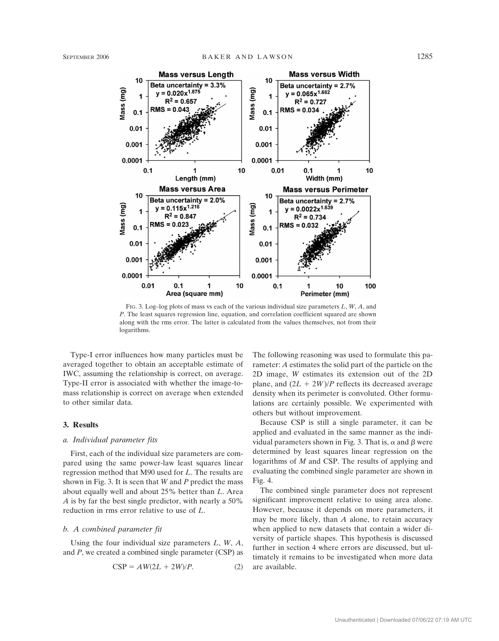

FIG. 3. Log–log plots of mass vs each of the various individual size parameters *L*, *W*, *A*, and *P*. The least squares regression line, equation, and correlation coefficient squared are shown along with the rms error. The latter is calculated from the values themselves, not from their logarithms.

Type-I error influences how many particles must be averaged together to obtain an acceptable estimate of IWC, assuming the relationship is correct, on average. Type-II error is associated with whether the image-tomass relationship is correct on average when extended to other similar data.

## **3. Results**

### *a. Individual parameter fits*

First, each of the individual size parameters are compared using the same power-law least squares linear regression method that M90 used for *L*. The results are shown in Fig. 3. It is seen that *W* and *P* predict the mass about equally well and about 25% better than *L*. Area *A* is by far the best single predictor, with nearly a 50% reduction in rms error relative to use of *L*.

#### *b. A combined parameter fit*

Using the four individual size parameters *L*, *W*, *A*, and *P*, we created a combined single parameter (CSP) as

$$
CSP = AW(2L + 2W)/P.
$$
 (2)

The following reasoning was used to formulate this parameter: *A* estimates the solid part of the particle on the 2D image, *W* estimates its extension out of the 2D plane, and  $(2L + 2W)/P$  reflects its decreased average density when its perimeter is convoluted. Other formulations are certainly possible. We experimented with others but without improvement.

Because CSP is still a single parameter, it can be applied and evaluated in the same manner as the individual parameters shown in Fig. 3. That is,  $\alpha$  and  $\beta$  were determined by least squares linear regression on the logarithms of *M* and CSP. The results of applying and evaluating the combined single parameter are shown in Fig. 4.

The combined single parameter does not represent significant improvement relative to using area alone. However, because it depends on more parameters, it may be more likely, than *A* alone, to retain accuracy when applied to new datasets that contain a wider diversity of particle shapes. This hypothesis is discussed further in section 4 where errors are discussed, but ultimately it remains to be investigated when more data are available.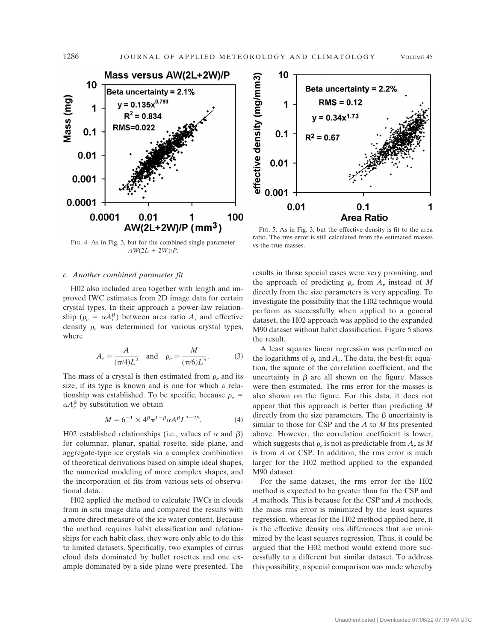

FIG. 4. As in Fig. 3, but for the combined single parameter  $AW(2L + 2W)/P$ .

#### *c. Another combined parameter fit*

H02 also included area together with length and improved IWC estimates from 2D image data for certain crystal types. In their approach a power-law relationship ( $\rho_e = \alpha A_r^{\beta}$ ) between area ratio  $A_r$  and effective density  $\rho_e$  was determined for various crystal types, where

$$
A_r \equiv \frac{A}{(\pi/4)L^2} \quad \text{and} \quad \rho_e \equiv \frac{M}{(\pi/6)L^3}.
$$
 (3)

The mass of a crystal is then estimated from  $\rho_e$  and its size, if its type is known and is one for which a relationship was established. To be specific, because  $\rho_e$  =  $\alpha A_r^{\beta}$  by substitution we obtain

$$
M = 6^{-1} \times 4^{\beta} \pi^{1-\beta} \alpha A^{\beta} L^{3-2\beta}.
$$
 (4)

H02 established relationships (i.e., values of  $\alpha$  and  $\beta$ ) for columnar, planar, spatial rosette, side plane, and aggregate-type ice crystals via a complex combination of theoretical derivations based on simple ideal shapes, the numerical modeling of more complex shapes, and the incorporation of fits from various sets of observational data.

H02 applied the method to calculate IWCs in clouds from in situ image data and compared the results with a more direct measure of the ice water content. Because the method requires habit classification and relationships for each habit class, they were only able to do this to limited datasets. Specifically, two examples of cirrus cloud data dominated by bullet rosettes and one example dominated by a side plane were presented. The



FIG. 5. As in Fig. 3, but the effective density is fit to the area ratio. The rms error is still calculated from the estimated masses vs the true masses.

results in those special cases were very promising, and the approach of predicting  $\rho$  from  $A_r$  instead of M directly from the size parameters is very appealing. To investigate the possibility that the H02 technique would perform as successfully when applied to a general dataset, the H02 approach was applied to the expanded M90 dataset without habit classification. Figure 5 shows the result.

A least squares linear regression was performed on the logarithms of  $\rho_e$  and  $A_r$ . The data, the best-fit equation, the square of the correlation coefficient, and the uncertainty in  $\beta$  are all shown on the figure. Masses were then estimated. The rms error for the masses is also shown on the figure. For this data, it does not appear that this approach is better than predicting *M* directly from the size parameters. The  $\beta$  uncertainty is similar to those for CSP and the *A* to *M* fits presented above. However, the correlation coefficient is lower, which suggests that  $\rho_e$  is not as predictable from  $A_r$  as M is from *A* or CSP. In addition, the rms error is much larger for the H02 method applied to the expanded M90 dataset.

For the same dataset, the rms error for the H02 method is expected to be greater than for the CSP and *A* methods. This is because for the CSP and *A* methods, the mass rms error is minimized by the least squares regression, whereas for the H02 method applied here, it is the effective density rms differences that are minimized by the least squares regression. Thus, it could be argued that the H02 method would extend more successfully to a different but similar dataset. To address this possibility, a special comparison was made whereby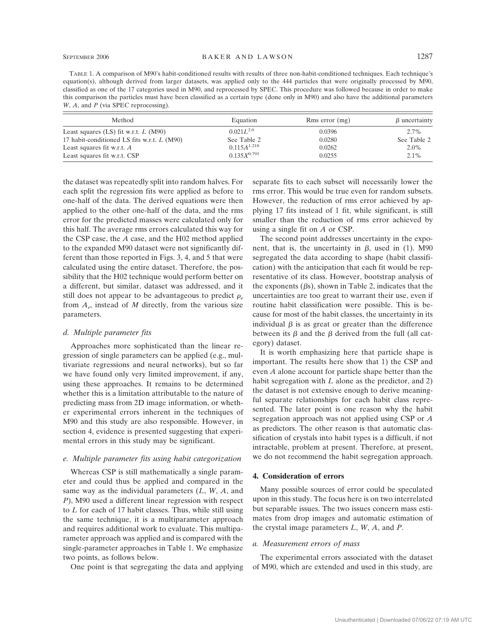TABLE 1. A comparison of M90's habit-conditioned results with results of three non-habit-conditioned techniques. Each technique's equation(s), although derived from larger datasets, was applied only to the 444 particles that were originally processed by M90, classified as one of the 17 categories used in M90, and reprocessed by SPEC. This procedure was followed because in order to make this comparison the particles must have been classified as a certain type (done only in M90) and also have the additional parameters *W*, *A*, and *P* (via SPEC reprocessing).

| Method                                             | Equation          | Rms error $(mg)$ | $\beta$ uncertainty |
|----------------------------------------------------|-------------------|------------------|---------------------|
| Least squares $(LS)$ fit w.r.t. $L(M90)$           | $0.021L^{2.0}$    | 0.0396           | $2.7\%$             |
| 17 habit-conditioned LS fits w.r.t. <i>L</i> (M90) | See Table 2       | 0.0280           | See Table 2         |
| Least squares fit w.r.t. $A$                       | $0.115A^{1.218}$  | 0.0262           | $2.0\%$             |
| Least squares fit w.r.t. CSP                       | $0.135 X^{0.793}$ | 0.0255           | 2.1%                |

the dataset was repeatedly split into random halves. For each split the regression fits were applied as before to one-half of the data. The derived equations were then applied to the other one-half of the data, and the rms error for the predicted masses were calculated only for this half. The average rms errors calculated this way for the CSP case, the *A* case, and the H02 method applied to the expanded M90 dataset were not significantly different than those reported in Figs. 3, 4, and 5 that were calculated using the entire dataset. Therefore, the possibility that the H02 technique would perform better on a different, but similar, dataset was addressed, and it still does not appear to be advantageous to predict  $\rho_e$ from *Ar*, instead of *M* directly, from the various size parameters.

### *d. Multiple parameter fits*

Approaches more sophisticated than the linear regression of single parameters can be applied (e.g., multivariate regressions and neural networks), but so far we have found only very limited improvement, if any, using these approaches. It remains to be determined whether this is a limitation attributable to the nature of predicting mass from 2D image information, or whether experimental errors inherent in the techniques of M90 and this study are also responsible. However, in section 4, evidence is presented suggesting that experimental errors in this study may be significant.

### *e. Multiple parameter fits using habit categorization*

Whereas CSP is still mathematically a single parameter and could thus be applied and compared in the same way as the individual parameters (*L*, *W*, *A*, and *P*), M90 used a different linear regression with respect to *L* for each of 17 habit classes. Thus, while still using the same technique, it is a multiparameter approach and requires additional work to evaluate. This multiparameter approach was applied and is compared with the single-parameter approaches in Table 1. We emphasize two points, as follows below.

One point is that segregating the data and applying

separate fits to each subset will necessarily lower the rms error. This would be true even for random subsets. However, the reduction of rms error achieved by applying 17 fits instead of 1 fit, while significant, is still smaller than the reduction of rms error achieved by using a single fit on *A* or CSP.

The second point addresses uncertainty in the exponent, that is, the uncertainty in  $\beta$ , used in (1). M90 segregated the data according to shape (habit classification) with the anticipation that each fit would be representative of its class. However, bootstrap analysis of the exponents  $(\beta s)$ , shown in Table 2, indicates that the uncertainties are too great to warrant their use, even if routine habit classification were possible. This is because for most of the habit classes, the uncertainty in its individual  $\beta$  is as great or greater than the difference between its  $\beta$  and the  $\beta$  derived from the full (all category) dataset.

It is worth emphasizing here that particle shape is important. The results here show that 1) the CSP and even *A* alone account for particle shape better than the habit segregation with *L* alone as the predictor, and 2) the dataset is not extensive enough to derive meaningful separate relationships for each habit class represented. The later point is one reason why the habit segregation approach was not applied using CSP or *A* as predictors. The other reason is that automatic classification of crystals into habit types is a difficult, if not intractable, problem at present. Therefore, at present, we do not recommend the habit segregation approach.

## **4. Consideration of errors**

Many possible sources of error could be speculated upon in this study. The focus here is on two interrelated but separable issues. The two issues concern mass estimates from drop images and automatic estimation of the crystal image parameters *L*, *W*, *A*, and *P*.

#### *a. Measurement errors of mass*

The experimental errors associated with the dataset of M90, which are extended and used in this study, are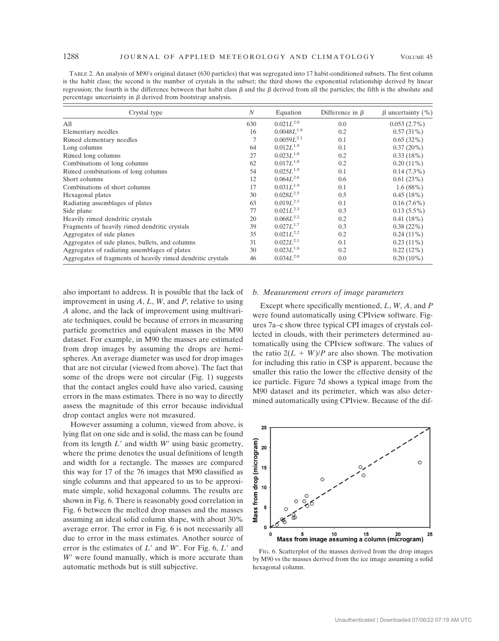| TABLE 2. An analysis of M90's original dataset (630 particles) that was segregated into 17 habit-conditioned subsets. The first column                  |
|---------------------------------------------------------------------------------------------------------------------------------------------------------|
| is the habit class; the second is the number of crystals in the subset; the third shows the exponential relationship derived by linear                  |
| regression; the fourth is the difference between that habit class $\beta$ and the $\beta$ derived from all the particles; the fifth is the absolute and |
| percentage uncertainty in $\beta$ derived from bootstrap analysis.                                                                                      |

| Crystal type                                                |     | Equation        | Difference in $\beta$ | $\beta$ uncertainty (%) |
|-------------------------------------------------------------|-----|-----------------|-----------------------|-------------------------|
| All                                                         | 630 | $0.021L^{2.0}$  | 0.0                   | $0.053(2.7\%)$          |
| Elementary needles                                          | 16  | $0.0048L^{1.8}$ | 0.2                   | $0.57(31\%)$            |
| Rimed elementary needles                                    | 7   | $0.0059L^{2.1}$ | 0.1                   | $0.65(32\%)$            |
| Long columns                                                | 64  | $0.012L^{1.9}$  | 0.1                   | $0.37(20\%)$            |
| Rimed long columns                                          | 27  | $0.023L^{1.8}$  | 0.2                   | $0.33(18\%)$            |
| Combinations of long columns                                | 62  | $0.017L^{1.8}$  | 0.2                   | $0.20(11\%)$            |
| Rimed combinations of long columns                          | 54  | $0.025L^{1.9}$  | 0.1                   | $0.14(7.3\%)$           |
| Short columns                                               | 12  | $0.064L^{2.6}$  | 0.6                   | 0.61(23%)               |
| Combinations of short columns                               | 17  | $0.031L^{1.9}$  | 0.1                   | $1.6(88\%)$             |
| Hexagonal plates                                            | 30  | $0.028L^{2.5}$  | 0.5                   | 0.45(18%)               |
| Radiating assemblages of plates                             | 63  | $0.019L^{2.1}$  | 0.1                   | $0.16(7.6\%)$           |
| Side plane                                                  | 77  | $0.021L^{2.3}$  | 0.3                   | $0.13(5.5\%)$           |
| Heavily rimed dendritic crystals                            | 20  | $0.068L^{2.2}$  | 0.2                   | $0.41(18\%)$            |
| Fragments of heavily rimed dendritic crystals               | 39  | $0.027L^{1.7}$  | 0.3                   | $0.38(22\%)$            |
| Aggregates of side planes                                   | 35  | $0.021L^{2.2}$  | 0.2                   | $0.24(11\%)$            |
| Aggregates of side planes, bullets, and columns             | 31  | $0.022L^{2.1}$  | 0.1                   | $0.23(11\%)$            |
| Aggregates of radiating assemblages of plates               | 30  | $0.023L^{1.8}$  | 0.2                   | $0.22(12\%)$            |
| Aggregates of fragments of heavily rimed dendritic crystals | 46  | $0.034L^{2.0}$  | 0.0                   | $0.20(10\%)$            |

also important to address. It is possible that the lack of improvement in using *A*, *L*, *W*, and *P*, relative to using *A* alone, and the lack of improvement using multivariate techniques, could be because of errors in measuring particle geometries and equivalent masses in the M90 dataset. For example, in M90 the masses are estimated from drop images by assuming the drops are hemispheres. An average diameter was used for drop images that are not circular (viewed from above). The fact that some of the drops were not circular (Fig. 1) suggests that the contact angles could have also varied, causing errors in the mass estimates. There is no way to directly assess the magnitude of this error because individual drop contact angles were not measured.

However assuming a column, viewed from above, is lying flat on one side and is solid, the mass can be found from its length *L'* and width *W'* using basic geometry, where the prime denotes the usual definitions of length and width for a rectangle. The masses are compared this way for 17 of the 76 images that M90 classified as single columns and that appeared to us to be approximate simple, solid hexagonal columns. The results are shown in Fig. 6. There is reasonably good correlation in Fig. 6 between the melted drop masses and the masses assuming an ideal solid column shape, with about 30% average error. The error in Fig. 6 is not necessarily all due to error in the mass estimates. Another source of error is the estimates of *L'* and *W'*. For Fig. 6, *L'* and *W* were found manually, which is more accurate than automatic methods but is still subjective.

#### *b. Measurement errors of image parameters*

Except where specifically mentioned, *L*, *W*, *A*, and *P* were found automatically using CPIview software. Figures 7a–c show three typical CPI images of crystals collected in clouds, with their perimeters determined automatically using the CPIview software. The values of the ratio  $2(L + W)/P$  are also shown. The motivation for including this ratio in CSP is apparent, because the smaller this ratio the lower the effective density of the ice particle. Figure 7d shows a typical image from the M90 dataset and its perimeter, which was also determined automatically using CPIview. Because of the dif-



FIG. 6. Scatterplot of the masses derived from the drop images by M90 vs the masses derived from the ice image assuming a solid hexagonal column.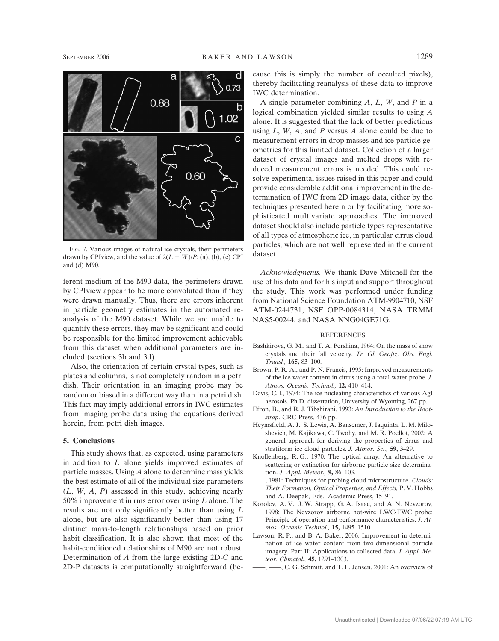

FIG. 7. Various images of natural ice crystals, their perimeters drawn by CPIview, and the value of  $2(L + W)/P$ : (a), (b), (c) CPI and (d) M90.

ferent medium of the M90 data, the perimeters drawn by CPIview appear to be more convoluted than if they were drawn manually. Thus, there are errors inherent in particle geometry estimates in the automated reanalysis of the M90 dataset. While we are unable to quantify these errors, they may be significant and could be responsible for the limited improvement achievable from this dataset when additional parameters are included (sections 3b and 3d).

Also, the orientation of certain crystal types, such as plates and columns, is not completely random in a petri dish. Their orientation in an imaging probe may be random or biased in a different way than in a petri dish. This fact may imply additional errors in IWC estimates from imaging probe data using the equations derived herein, from petri dish images.

#### **5. Conclusions**

This study shows that, as expected, using parameters in addition to *L* alone yields improved estimates of particle masses. Using *A* alone to determine mass yields the best estimate of all of the individual size parameters (*L*, *W*, *A*, *P*) assessed in this study, achieving nearly 50% improvement in rms error over using *L* alone. The results are not only significantly better than using *L* alone, but are also significantly better than using 17 distinct mass-to-length relationships based on prior habit classification. It is also shown that most of the habit-conditioned relationships of M90 are not robust. Determination of *A* from the large existing 2D-C and 2D-P datasets is computationally straightforward (because this is simply the number of occulted pixels), thereby facilitating reanalysis of these data to improve IWC determination.

A single parameter combining *A*, *L*, *W*, and *P* in a logical combination yielded similar results to using *A* alone. It is suggested that the lack of better predictions using *L*, *W*, *A*, and *P* versus *A* alone could be due to measurement errors in drop masses and ice particle geometries for this limited dataset. Collection of a larger dataset of crystal images and melted drops with reduced measurement errors is needed. This could resolve experimental issues raised in this paper and could provide considerable additional improvement in the determination of IWC from 2D image data, either by the techniques presented herein or by facilitating more sophisticated multivariate approaches. The improved dataset should also include particle types representative of all types of atmospheric ice, in particular cirrus cloud particles, which are not well represented in the current dataset.

*Acknowledgments.* We thank Dave Mitchell for the use of his data and for his input and support throughout the study. This work was performed under funding from National Science Foundation ATM-9904710, NSF ATM-0244731, NSF OPP-0084314, NASA TRMM NAS5-00244, and NASA NNG04GE71G.

#### **REFERENCES**

- Bashkirova, G. M., and T. A. Pershina, 1964: On the mass of snow crystals and their fall velocity. *Tr. Gl. Geofiz. Obs. Engl. Transl.,* **165,** 83–100.
- Brown, P. R. A., and P. N. Francis, 1995: Improved measurements of the ice water content in cirrus using a total-water probe. *J. Atmos. Oceanic Technol.,* **12,** 410–414.
- Davis, C. I., 1974: The ice-nucleating characteristics of various AgI aerosols. Ph.D. dissertation, University of Wyoming, 267 pp.
- Efron, B., and R. J. Tibshirani, 1993: *An Introduction to the Bootstrap*. CRC Press, 436 pp.
- Heymsfield, A. J., S. Lewis, A. Bansemer, J. Iaquinta, L. M. Miloshevich, M. Kajikawa, C. Twohy, and M. R. Poellot, 2002: A general approach for deriving the properties of cirrus and stratiform ice cloud particles. *J. Atmos. Sci.,* **59,** 3–29.
- Knollenberg, R. G., 1970: The optical array: An alternative to scattering or extinction for airborne particle size determination. *J. Appl. Meteor.,* **9,** 86–103.
- ——, 1981: Techniques for probing cloud microstructure. *Clouds: Their Formation, Optical Properties, and Effects,* P. V. Hobbs and A. Deepak, Eds., Academic Press, 15–91.
- Korolev, A. V., J. W. Strapp, G. A. Isaac, and A. N. Nevzorov, 1998: The Nevzorov airborne hot-wire LWC-TWC probe: Principle of operation and performance characteristics. *J. Atmos. Oceanic Technol.,* **15,** 1495–1510.
- Lawson, R. P., and B. A. Baker, 2006: Improvement in determination of ice water content from two-dimensional particle imagery. Part II: Applications to collected data. *J. Appl. Meteor. Climatol.,* **45,** 1291–1303.
	- ——, ——, C. G. Schmitt, and T. L. Jensen, 2001: An overview of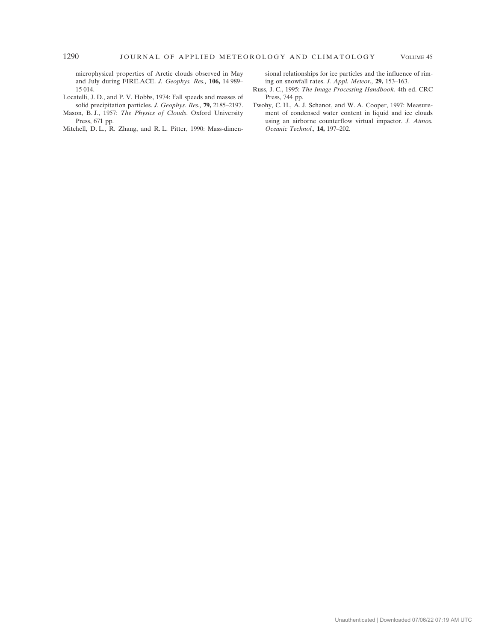microphysical properties of Arctic clouds observed in May and July during FIRE.ACE. *J. Geophys. Res.,* **106,** 14 989– 15 014.

- Locatelli, J. D., and P. V. Hobbs, 1974: Fall speeds and masses of solid precipitation particles. *J. Geophys. Res.,* **79,** 2185–2197.
- Mason, B. J., 1957: *The Physics of Clouds*. Oxford University Press, 671 pp.

Mitchell, D. L., R. Zhang, and R. L. Pitter, 1990: Mass-dimen-

sional relationships for ice particles and the influence of riming on snowfall rates. *J. Appl. Meteor.,* **29,** 153–163.

- Russ, J. C., 1995: *The Image Processing Handbook*. 4th ed. CRC Press, 744 pp*.*
- Twohy, C. H., A. J. Schanot, and W. A. Cooper, 1997: Measurement of condensed water content in liquid and ice clouds using an airborne counterflow virtual impactor. *J. Atmos. Oceanic Technol.,* **14,** 197–202.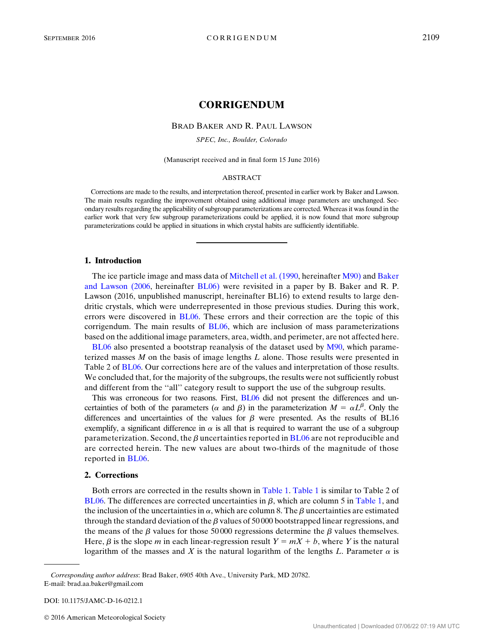## CORRIGENDUM

BRAD BAKER AND R. PAUL LAWSON

SPEC, Inc., Boulder, Colorado

(Manuscript received and in final form 15 June 2016)

### ABSTRACT

Corrections are made to the results, and interpretation thereof, presented in earlier work by Baker and Lawson. The main results regarding the improvement obtained using additional image parameters are unchanged. Secondary results regarding the applicability of subgroup parameterizations are corrected. Whereas it was found in the earlier work that very few subgroup parameterizations could be applied, it is now found that more subgroup parameterizations could be applied in situations in which crystal habits are sufficiently identifiable.

#### 1. Introduction

The ice particle image and mass data of [Mitchell et al. \(1990](#page-11-0), hereinafter [M90\)](#page-11-0) and [Baker](#page-11-1) [and Lawson \(2006](#page-11-1), hereinafter [BL06\)](#page-11-1) were revisited in a paper by B. Baker and R. P. Lawson (2016, unpublished manuscript, hereinafter BL16) to extend results to large dendritic crystals, which were underrepresented in those previous studies. During this work, errors were discovered in [BL06.](#page-11-1) These errors and their correction are the topic of this corrigendum. The main results of [BL06](#page-11-1), which are inclusion of mass parameterizations based on the additional image parameters, area, width, and perimeter, are not affected here.

[BL06](#page-11-1) also presented a bootstrap reanalysis of the dataset used by [M90,](#page-11-0) which parameterized masses M on the basis of image lengths L alone. Those results were presented in Table 2 of [BL06](#page-11-1). Our corrections here are of the values and interpretation of those results. We concluded that, for the majority of the subgroups, the results were not sufficiently robust and different from the ''all'' category result to support the use of the subgroup results.

This was erroneous for two reasons. First, [BL06](#page-11-1) did not present the differences and uncertainties of both of the parameters ( $\alpha$  and  $\beta$ ) in the parameterization  $M = \alpha L^{\beta}$ . Only the differences and uncertainties of the values for  $\beta$  were presented. As the results of BL16 exemplify, a significant difference in  $\alpha$  is all that is required to warrant the use of a subgroup parameterization. Second, the  $\beta$  uncertainties reported in [BL06](#page-11-1) are not reproducible and are corrected herein. The new values are about two-thirds of the magnitude of those reported in [BL06.](#page-11-1)

#### 2. Corrections

Both errors are corrected in the results shown in [Table 1](#page-10-0). [Table 1](#page-10-0) is similar to Table 2 of [BL06](#page-11-1). The differences are corrected uncertainties in  $\beta$ , which are column 5 in [Table 1](#page-10-0), and the inclusion of the uncertainties in  $\alpha$ , which are column 8. The  $\beta$  uncertainties are estimated through the standard deviation of the  $\beta$  values of 50 000 bootstrapped linear regressions, and the means of the  $\beta$  values for those 50 000 regressions determine the  $\beta$  values themselves. Here,  $\beta$  is the slope m in each linear-regression result  $Y = mX + b$ , where Y is the natural logarithm of the masses and X is the natural logarithm of the lengths L. Parameter  $\alpha$  is

Corresponding author address: Brad Baker, 6905 40th Ave., University Park, MD 20782. E-mail: [brad.aa.baker@gmail.com](mailto:brad.aa.baker@gmail.com)

DOI: 10.1175/JAMC-D-16-0212.1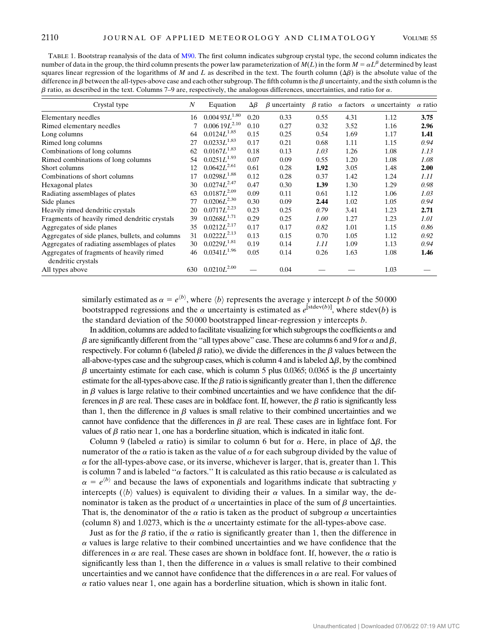<span id="page-10-0"></span>TABLE 1. Bootstrap reanalysis of the data of [M90](#page-11-0). The first column indicates subgroup crystal type, the second column indicates the number of data in the group, the third column presents the power law parameterization of  $M(L)$  in the form  $M = \alpha L^{\beta}$  determined by least squares linear regression of the logarithms of M and L as described in the text. The fourth column  $(\Delta \beta)$  is the absolute value of the difference in  $\beta$  between the all-types-above case and each other subgroup. The fifth column is the  $\beta$  uncertainty, and the sixth column is the  $\beta$  ratio, as described in the text. Columns 7–9 are, respectively, the analogous differences, uncertainties, and ratio for  $\alpha$ .

| Crystal type                                                   | $\boldsymbol{N}$ | Equation            | $\Delta \beta$ | $\beta$ uncertainty | $\beta$ ratio |      | $\alpha$ factors $\alpha$ uncertainty | $\alpha$ ratio |
|----------------------------------------------------------------|------------------|---------------------|----------------|---------------------|---------------|------|---------------------------------------|----------------|
| Elementary needles                                             | 16               | $0.00493L^{1.80}$   | 0.20           | 0.33                | 0.55          | 4.31 | 1.12                                  | 3.75           |
| Rimed elementary needles                                       |                  | $0.00619L^{2.10}$   | 0.10           | 0.27                | 0.32          | 3.52 | 1.16                                  | 2.96           |
| Long columns                                                   | 64               | $0.0124L^{1.85}$    | 0.15           | 0.25                | 0.54          | 1.69 | 1.17                                  | 1.41           |
| Rimed long columns                                             | 27               | $0.0233L^{1.83}$    | 0.17           | 0.21                | 0.68          | 1.11 | 1.15                                  | 0.94           |
| Combinations of long columns                                   | 62               | $0.0167L^{1.83}$    | 0.18           | 0.13                | 1.03          | 1.26 | 1.08                                  | 1.13           |
| Rimed combinations of long columns                             | 54               | $0.0251L^{1.93}$    | 0.07           | 0.09                | 0.55          | 1.20 | 1.08                                  | 1.08           |
| Short columns                                                  | 12               | $0.0642L^{2.61}$    | 0.61           | 0.28                | 1.92          | 3.05 | 1.48                                  | 2.00           |
| Combinations of short columns                                  | 17               | $0.0298 L^{1.88}\,$ | 0.12           | 0.28                | 0.37          | 1.42 | 1.24                                  | 1.11           |
| Hexagonal plates                                               | 30               | $0.0274L^{2.47}$    | 0.47           | 0.30                | 1.39          | 1.30 | 1.29                                  | 0.98           |
| Radiating assemblages of plates                                | 63               | $0.0187L^{2.09}$    | 0.09           | 0.11                | 0.61          | 1.12 | 1.06                                  | 1.03           |
| Side planes                                                    | 77               | $0.0206L^{2.30}$    | 0.30           | 0.09                | 2.44          | 1.02 | 1.05                                  | 0.94           |
| Heavily rimed dendritic crystals                               | 20               | $0.0717L^{2.23}$    | 0.23           | 0.25                | 0.79          | 3.41 | 1.23                                  | 2.71           |
| Fragments of heavily rimed dendritic crystals                  | 39               | $0.0268L^{1.71}$    | 0.29           | 0.25                | 1.00          | 1.27 | 1.23                                  | 1.01           |
| Aggregates of side planes                                      | 35               | $0.0212L^{2.17}$    | 0.17           | 0.17                | 0.82          | 1.01 | 1.15                                  | 0.86           |
| Aggregates of side planes, bullets, and columns                | 31               | $0.0222L^{2.13}$    | 0.13           | 0.15                | 0.70          | 1.05 | 1.12                                  | 0.92           |
| Aggregates of radiating assemblages of plates                  | 30               | $0.0229L^{1.81}$    | 0.19           | 0.14                | 1.11          | 1.09 | 1.13                                  | 0.94           |
| Aggregates of fragments of heavily rimed<br>dendritic crystals | 46               | $0.0341L^{1.96}$    | 0.05           | 0.14                | 0.26          | 1.63 | 1.08                                  | 1.46           |
| All types above                                                | 630              | $0.0210L^{2.00}$    |                | 0.04                |               |      | 1.03                                  |                |

similarly estimated as  $\alpha = e^{b}$ , where  $\langle b \rangle$  represents the average y intercept b of the 50 000 bootstrapped regressions and the  $\alpha$  uncertainty is estimated as  $e^{[stack(b)]}$ , where stdev(b) is the standard deviation of the  $50000$  bootstrapped linear-regression y intercepts  $b$ .

In addition, columns are added to facilitate visualizing for which subgroups the coefficients  $\alpha$  and  $\beta$  are significantly different from the "all types above" case. These are columns 6 and 9 for  $\alpha$  and  $\beta$ , respectively. For column 6 (labeled  $\beta$  ratio), we divide the differences in the  $\beta$  values between the all-above-types case and the subgroup cases, which is column 4 and is labeled  $\Delta \beta$ , by the combined  $\beta$  uncertainty estimate for each case, which is column 5 plus 0.0365; 0.0365 is the  $\beta$  uncertainty estimate for the all-types-above case. If the  $\beta$  ratio is significantly greater than 1, then the difference in  $\beta$  values is large relative to their combined uncertainties and we have confidence that the differences in  $\beta$  are real. These cases are in boldface font. If, however, the  $\beta$  ratio is significantly less than 1, then the difference in  $\beta$  values is small relative to their combined uncertainties and we cannot have confidence that the differences in  $\beta$  are real. These cases are in lightface font. For values of  $\beta$  ratio near 1, one has a borderline situation, which is indicated in italic font.

Column 9 (labeled  $\alpha$  ratio) is similar to column 6 but for  $\alpha$ . Here, in place of  $\Delta\beta$ , the numerator of the  $\alpha$  ratio is taken as the value of  $\alpha$  for each subgroup divided by the value of  $\alpha$  for the all-types-above case, or its inverse, whichever is larger, that is, greater than 1. This is column 7 and is labeled " $\alpha$  factors." It is calculated as this ratio because  $\alpha$  is calculated as  $\alpha = e^{b}$  and because the laws of exponentials and logarithms indicate that subtracting y intercepts ( $\langle b \rangle$  values) is equivalent to dividing their  $\alpha$  values. In a similar way, the denominator is taken as the product of  $\alpha$  uncertainties in place of the sum of  $\beta$  uncertainties. That is, the denominator of the  $\alpha$  ratio is taken as the product of subgroup  $\alpha$  uncertainties (column 8) and 1.0273, which is the  $\alpha$  uncertainty estimate for the all-types-above case.

Just as for the  $\beta$  ratio, if the  $\alpha$  ratio is significantly greater than 1, then the difference in  $\alpha$  values is large relative to their combined uncertainties and we have confidence that the differences in  $\alpha$  are real. These cases are shown in boldface font. If, however, the  $\alpha$  ratio is significantly less than 1, then the difference in  $\alpha$  values is small relative to their combined uncertainties and we cannot have confidence that the differences in  $\alpha$  are real. For values of  $\alpha$  ratio values near 1, one again has a borderline situation, which is shown in italic font.